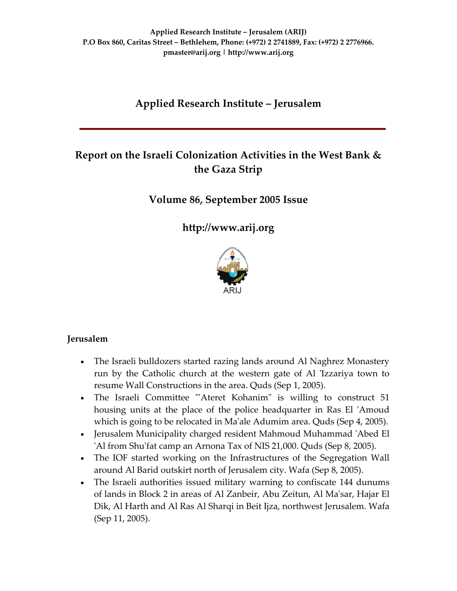# **Applied Research Institute – Jerusalem**

# **Report on the Israeli Colonization Activities in the West Bank & the Gaza Strip**

# **Volume 86, September 2005 Issue**

**[http://www.arij.org](http://www.arij.org/)**



### **Jerusalem**

- The Israeli bulldozers started razing lands around Al Naghrez Monastery run by the Catholic church at the western gate of Al 'Izzariya town to resume Wall Constructions in the area. Quds (Sep 1, 2005).
- The Israeli Committee "Ateret Kohanim" is willing to construct 51 housing units at the place of the police headquarter in Ras El 'Amoud which is going to be relocated in Ma'ale Adumim area. Quds (Sep 4, 2005).
- Jerusalem Municipality charged resident Mahmoud Muhammad 'Abed El ʹAl from Shuʹfat camp an Arnona Tax of NIS 21,000. Quds (Sep 8, 2005).
- The IOF started working on the Infrastructures of the Segregation Wall around Al Barid outskirt north of Jerusalem city. Wafa (Sep 8, 2005).
- The Israeli authorities issued military warning to confiscate 144 dunums of lands in Block 2 in areas of Al Zanbeir, Abu Zeitun, Al Maʹsar, Hajar El Dik, Al Harth and Al Ras Al Sharqi in Beit Ijza, northwest Jerusalem. Wafa (Sep 11, 2005).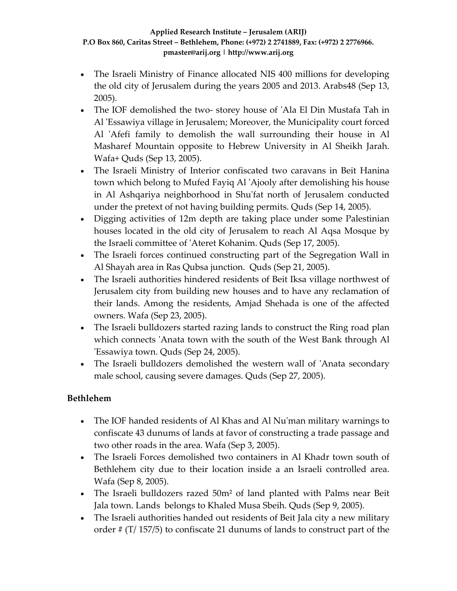- The Israeli Ministry of Finance allocated NIS 400 millions for developing the old city of Jerusalem during the years 2005 and 2013. Arabs48 (Sep 13, 2005).
- The IOF demolished the two-storey house of 'Ala El Din Mustafa Tah in Al 'Essawiya village in Jerusalem; Moreover, the Municipality court forced Al 'Afefi family to demolish the wall surrounding their house in Al Masharef Mountain opposite to Hebrew University in Al Sheikh Jarah. Wafa+ Quds (Sep 13, 2005).
- The Israeli Ministry of Interior confiscated two caravans in Beit Hanina town which belong to Mufed Fayiq Al ʹAjooly after demolishing his house in Al Ashqariya neighborhood in Shuʹfat north of Jerusalem conducted under the pretext of not having building permits. Quds (Sep 14, 2005).
- Digging activities of 12m depth are taking place under some Palestinian houses located in the old city of Jerusalem to reach Al Aqsa Mosque by the Israeli committee of ʹAteret Kohanim. Quds (Sep 17, 2005).
- The Israeli forces continued constructing part of the Segregation Wall in Al Shayah area in Ras Qubsa junction. Quds (Sep 21, 2005).
- The Israeli authorities hindered residents of Beit Iksa village northwest of Jerusalem city from building new houses and to have any reclamation of their lands. Among the residents, Amjad Shehada is one of the affected owners. Wafa (Sep 23, 2005).
- The Israeli bulldozers started razing lands to construct the Ring road plan which connects 'Anata town with the south of the West Bank through Al ʹEssawiya town. Quds (Sep 24, 2005).
- The Israeli bulldozers demolished the western wall of 'Anata secondary male school, causing severe damages. Quds (Sep 27, 2005).

# **Bethlehem**

- The IOF handed residents of Al Khas and Al Nu'man military warnings to confiscate 43 dunums of lands at favor of constructing a trade passage and two other roads in the area. Wafa (Sep 3, 2005).
- The Israeli Forces demolished two containers in Al Khadr town south of Bethlehem city due to their location inside a an Israeli controlled area. Wafa (Sep 8, 2005).
- The Israeli bulldozers razed 50m² of land planted with Palms near Beit Jala town. Lands belongs to Khaled Musa Sbeih. Quds (Sep 9, 2005).
- The Israeli authorities handed out residents of Beit Jala city a new military order # (T/ 157/5) to confiscate 21 dunums of lands to construct part of the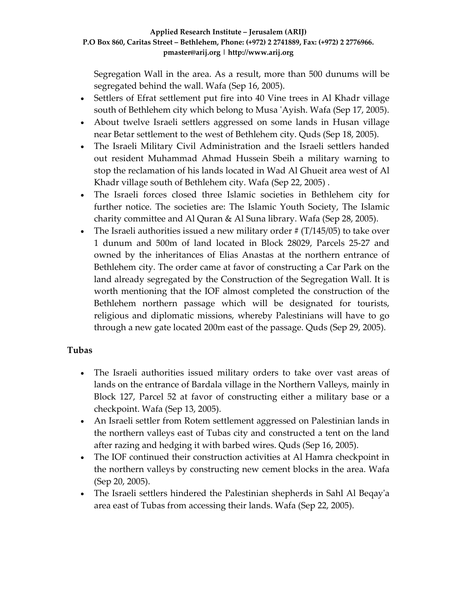Segregation Wall in the area. As a result, more than 500 dunums will be segregated behind the wall. Wafa (Sep 16, 2005).

- Settlers of Efrat settlement put fire into 40 Vine trees in Al Khadr village south of Bethlehem city which belong to Musa 'Ayish. Wafa (Sep 17, 2005).
- About twelve Israeli settlers aggressed on some lands in Husan village near Betar settlement to the west of Bethlehem city. Quds (Sep 18, 2005).
- The Israeli Military Civil Administration and the Israeli settlers handed out resident Muhammad Ahmad Hussein Sbeih a military warning to stop the reclamation of his lands located in Wad Al Ghueit area west of Al Khadr village south of Bethlehem city. Wafa (Sep 22, 2005) .
- The Israeli forces closed three Islamic societies in Bethlehem city for further notice. The societies are: The Islamic Youth Society, The Islamic charity committee and Al Quran & Al Suna library. Wafa (Sep 28, 2005).
- The Israeli authorities issued a new military order  $\# (T/145/05)$  to take over 1 dunum and 500m of land located in Block 28029, Parcels 25‐27 and owned by the inheritances of Elias Anastas at the northern entrance of Bethlehem city. The order came at favor of constructing a Car Park on the land already segregated by the Construction of the Segregation Wall. It is worth mentioning that the IOF almost completed the construction of the Bethlehem northern passage which will be designated for tourists, religious and diplomatic missions, whereby Palestinians will have to go through a new gate located 200m east of the passage. Quds (Sep 29, 2005).

# **Tubas**

- The Israeli authorities issued military orders to take over vast areas of lands on the entrance of Bardala village in the Northern Valleys, mainly in Block 127, Parcel 52 at favor of constructing either a military base or a checkpoint. Wafa (Sep 13, 2005).
- An Israeli settler from Rotem settlement aggressed on Palestinian lands in the northern valleys east of Tubas city and constructed a tent on the land after razing and hedging it with barbed wires. Quds (Sep 16, 2005).
- The IOF continued their construction activities at Al Hamra checkpoint in the northern valleys by constructing new cement blocks in the area. Wafa (Sep 20, 2005).
- The Israeli settlers hindered the Palestinian shepherds in Sahl Al Beqay'a area east of Tubas from accessing their lands. Wafa (Sep 22, 2005).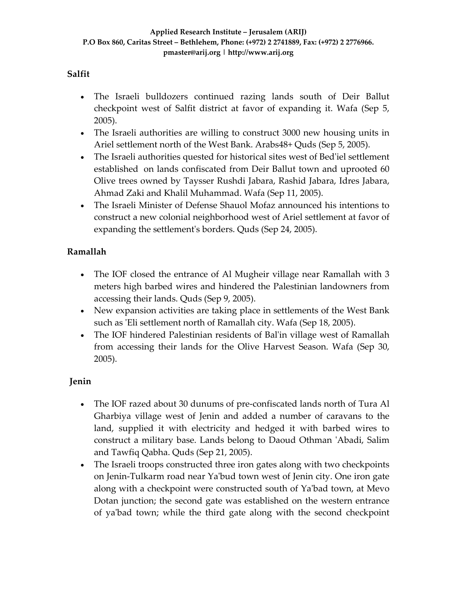### **Salfit**

- The Israeli bulldozers continued razing lands south of Deir Ballut checkpoint west of Salfit district at favor of expanding it. Wafa (Sep 5, 2005).
- The Israeli authorities are willing to construct 3000 new housing units in Ariel settlement north of the West Bank. Arabs48+ Quds (Sep 5, 2005).
- The Israeli authorities quested for historical sites west of Bed'iel settlement established on lands confiscated from Deir Ballut town and uprooted 60 Olive trees owned by Taysser Rushdi Jabara, Rashid Jabara, Idres Jabara, Ahmad Zaki and Khalil Muhammad. Wafa (Sep 11, 2005).
- The Israeli Minister of Defense Shauol Mofaz announced his intentions to construct a new colonial neighborhood west of Ariel settlement at favor of expanding the settlement's borders. Quds (Sep 24, 2005).

# **Ramallah**

- The IOF closed the entrance of Al Mugheir village near Ramallah with 3 meters high barbed wires and hindered the Palestinian landowners from accessing their lands. Quds (Sep 9, 2005).
- New expansion activities are taking place in settlements of the West Bank such as 'Eli settlement north of Ramallah city. Wafa (Sep 18, 2005).
- The IOF hindered Palestinian residents of Bal'in village west of Ramallah from accessing their lands for the Olive Harvest Season. Wafa (Sep 30, 2005).

# **Jenin**

- The IOF razed about 30 dunums of pre-confiscated lands north of Tura Al Gharbiya village west of Jenin and added a number of caravans to the land, supplied it with electricity and hedged it with barbed wires to construct a military base. Lands belong to Daoud Othman ʹAbadi, Salim and Tawfiq Qabha. Quds (Sep 21, 2005).
- The Israeli troops constructed three iron gates along with two checkpoints on Jenin‐Tulkarm road near Yaʹbud town west of Jenin city. One iron gate along with a checkpoint were constructed south of Ya'bad town, at Mevo Dotan junction; the second gate was established on the western entrance of yaʹbad town; while the third gate along with the second checkpoint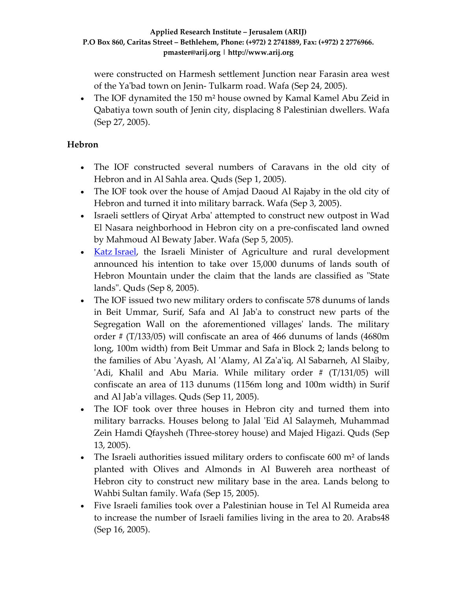were constructed on Harmesh settlement Junction near Farasin area west of the Yaʹbad town on Jenin‐ Tulkarm road. Wafa (Sep 24, 2005).

• The IOF dynamited the 150 m<sup>2</sup> house owned by Kamal Kamel Abu Zeid in Qabatiya town south of Jenin city, displacing 8 Palestinian dwellers. Wafa (Sep 27, 2005).

# **Hebron**

- The IOF constructed several numbers of Caravans in the old city of Hebron and in Al Sahla area. Quds (Sep 1, 2005).
- The IOF took over the house of Amjad Daoud Al Rajaby in the old city of Hebron and turned it into military barrack. Wafa (Sep 3, 2005).
- Israeli settlers of Qiryat Arbaʹ attempted to construct new outpost in Wad El Nasara neighborhood in Hebron city on a pre‐confiscated land owned by Mahmoud Al Bewaty Jaber. Wafa (Sep 5, 2005).
- Katz [Israel,](http://www.moag.gov.il/english/search/employee.asp?emplID=990) the Israeli Minister of Agriculture and rural development announced his intention to take over 15,000 dunums of lands south of Hebron Mountain under the claim that the lands are classified as "State landsʺ. Quds (Sep 8, 2005).
- The IOF issued two new military orders to confiscate 578 dunums of lands in Beit Ummar, Surif, Safa and Al Jabʹa to construct new parts of the Segregation Wall on the aforementioned villages' lands. The military order # (T/133/05) will confiscate an area of 466 dunums of lands (4680m long, 100m width) from Beit Ummar and Safa in Block 2; lands belong to the families of Abu ʹAyash, Al ʹAlamy, Al Zaʹaʹiq, Al Sabarneh, Al Slaiby, ʹAdi, Khalil and Abu Maria. While military order # (T/131/05) will confiscate an area of 113 dunums (1156m long and 100m width) in Surif and Al Jabʹa villages. Quds (Sep 11, 2005).
- The IOF took over three houses in Hebron city and turned them into military barracks. Houses belong to Jalal 'Eid Al Salaymeh, Muhammad Zein Hamdi Qfaysheh (Three‐storey house) and Majed Higazi. Quds (Sep 13, 2005).
- The Israeli authorities issued military orders to confiscate  $600 \text{ m}^2$  of lands planted with Olives and Almonds in Al Buwereh area northeast of Hebron city to construct new military base in the area. Lands belong to Wahbi Sultan family. Wafa (Sep 15, 2005).
- Five Israeli families took over a Palestinian house in Tel Al Rumeida area to increase the number of Israeli families living in the area to 20. Arabs48 (Sep 16, 2005).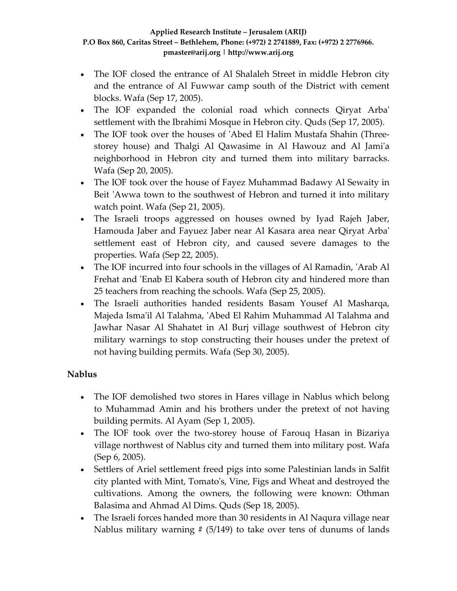- The IOF closed the entrance of Al Shalaleh Street in middle Hebron city and the entrance of Al Fuwwar camp south of the District with cement blocks. Wafa (Sep 17, 2005).
- The IOF expanded the colonial road which connects Qiryat Arbaʹ settlement with the Ibrahimi Mosque in Hebron city. Quds (Sep 17, 2005).
- The IOF took over the houses of 'Abed El Halim Mustafa Shahin (Threestorey house) and Thalgi Al Qawasime in Al Hawouz and Al Jamiʹa neighborhood in Hebron city and turned them into military barracks. Wafa (Sep 20, 2005).
- The IOF took over the house of Fayez Muhammad Badawy Al Sewaity in Beit 'Awwa town to the southwest of Hebron and turned it into military watch point. Wafa (Sep 21, 2005).
- The Israeli troops aggressed on houses owned by Iyad Rajeh Jaber, Hamouda Jaber and Fayuez Jaber near Al Kasara area near Qiryat Arbaʹ settlement east of Hebron city, and caused severe damages to the properties. Wafa (Sep 22, 2005).
- The IOF incurred into four schools in the villages of Al Ramadin, 'Arab Al Frehat and 'Enab El Kabera south of Hebron city and hindered more than 25 teachers from reaching the schools. Wafa (Sep 25, 2005).
- The Israeli authorities handed residents Basam Yousef Al Masharqa, Majeda Ismaʹil Al Talahma, ʹAbed El Rahim Muhammad Al Talahma and Jawhar Nasar Al Shahatet in Al Burj village southwest of Hebron city military warnings to stop constructing their houses under the pretext of not having building permits. Wafa (Sep 30, 2005).

# **Nablus**

- The IOF demolished two stores in Hares village in Nablus which belong to Muhammad Amin and his brothers under the pretext of not having building permits. Al Ayam (Sep 1, 2005).
- The IOF took over the two-storey house of Farouq Hasan in Bizariya village northwest of Nablus city and turned them into military post. Wafa (Sep 6, 2005).
- Settlers of Ariel settlement freed pigs into some Palestinian lands in Salfit city planted with Mint, Tomatoʹs, Vine, Figs and Wheat and destroyed the cultivations. Among the owners, the following were known: Othman Balasima and Ahmad Al Dims. Quds (Sep 18, 2005).
- The Israeli forces handed more than 30 residents in Al Naqura village near Nablus military warning  $# (5/149)$  to take over tens of dunums of lands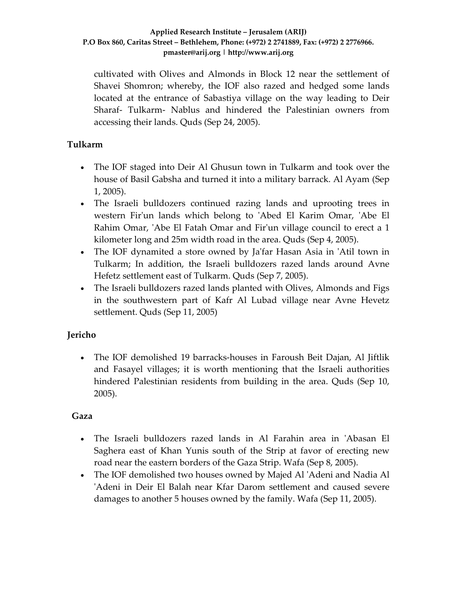cultivated with Olives and Almonds in Block 12 near the settlement of Shavei Shomron; whereby, the IOF also razed and hedged some lands located at the entrance of Sabastiya village on the way leading to Deir Sharaf‐ Tulkarm‐ Nablus and hindered the Palestinian owners from accessing their lands. Quds (Sep 24, 2005).

# **Tulkarm**

- The IOF staged into Deir Al Ghusun town in Tulkarm and took over the house of Basil Gabsha and turned it into a military barrack. Al Ayam (Sep 1, 2005).
- The Israeli bulldozers continued razing lands and uprooting trees in western Fir'un lands which belong to 'Abed El Karim Omar, 'Abe El Rahim Omar, 'Abe El Fatah Omar and Fir'un village council to erect a 1 kilometer long and 25m width road in the area. Quds (Sep 4, 2005).
- The IOF dynamited a store owned by Ja'far Hasan Asia in 'Atil town in Tulkarm; In addition, the Israeli bulldozers razed lands around Avne Hefetz settlement east of Tulkarm. Quds (Sep 7, 2005).
- The Israeli bulldozers razed lands planted with Olives, Almonds and Figs in the southwestern part of Kafr Al Lubad village near Avne Hevetz settlement. Quds (Sep 11, 2005)

# **Jericho**

• The IOF demolished 19 barracks-houses in Faroush Beit Dajan, Al Jiftlik and Fasayel villages; it is worth mentioning that the Israeli authorities hindered Palestinian residents from building in the area. Quds (Sep 10, 2005).

# **Gaza**

- The Israeli bulldozers razed lands in Al Farahin area in 'Abasan El Saghera east of Khan Yunis south of the Strip at favor of erecting new road near the eastern borders of the Gaza Strip. Wafa (Sep 8, 2005).
- The IOF demolished two houses owned by Majed Al 'Adeni and Nadia Al 'Adeni in Deir El Balah near Kfar Darom settlement and caused severe damages to another 5 houses owned by the family. Wafa (Sep 11, 2005).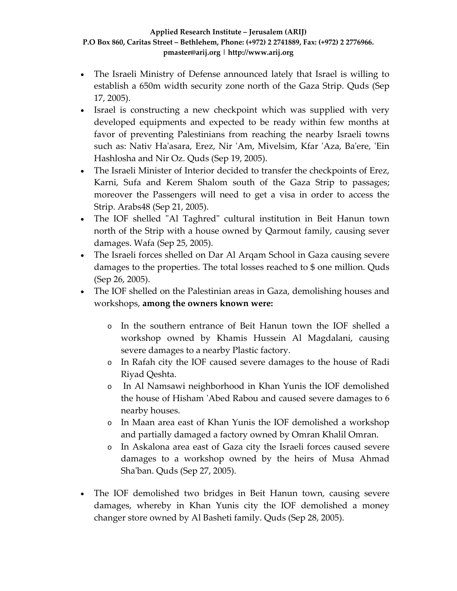- The Israeli Ministry of Defense announced lately that Israel is willing to establish a 650m width security zone north of the Gaza Strip. Quds (Sep 17, 2005).
- Israel is constructing a new checkpoint which was supplied with very developed equipments and expected to be ready within few months at favor of preventing Palestinians from reaching the nearby Israeli towns such as: Nativ Haʹasara, Erez, Nir ʹAm, Mivelsim, Kfar ʹAza, Baʹere, ʹEin Hashlosha and Nir Oz. Quds (Sep 19, 2005).
- The Israeli Minister of Interior decided to transfer the checkpoints of Erez, Karni, Sufa and Kerem Shalom south of the Gaza Strip to passages; moreover the Passengers will need to get a visa in order to access the Strip. Arabs48 (Sep 21, 2005).
- The IOF shelled "Al Taghred" cultural institution in Beit Hanun town north of the Strip with a house owned by Qarmout family, causing sever damages. Wafa (Sep 25, 2005).
- The Israeli forces shelled on Dar Al Arqam School in Gaza causing severe damages to the properties. The total losses reached to \$ one million. Quds (Sep 26, 2005).
- The IOF shelled on the Palestinian areas in Gaza, demolishing houses and workshops, **among the owners known were:**
	- o In the southern entrance of Beit Hanun town the IOF shelled a workshop owned by Khamis Hussein Al Magdalani, causing severe damages to a nearby Plastic factory.
	- o In Rafah city the IOF caused severe damages to the house of Radi Riyad Qeshta.
	- o In Al Namsawi neighborhood in Khan Yunis the IOF demolished the house of Hisham ʹAbed Rabou and caused severe damages to 6 nearby houses.
	- o In Maan area east of Khan Yunis the IOF demolished a workshop and partially damaged a factory owned by Omran Khalil Omran.
	- o In Askalona area east of Gaza city the Israeli forces caused severe damages to a workshop owned by the heirs of Musa Ahmad Shaʹban. Quds (Sep 27, 2005).
- The IOF demolished two bridges in Beit Hanun town, causing severe damages, whereby in Khan Yunis city the IOF demolished a money changer store owned by Al Basheti family. Quds (Sep 28, 2005).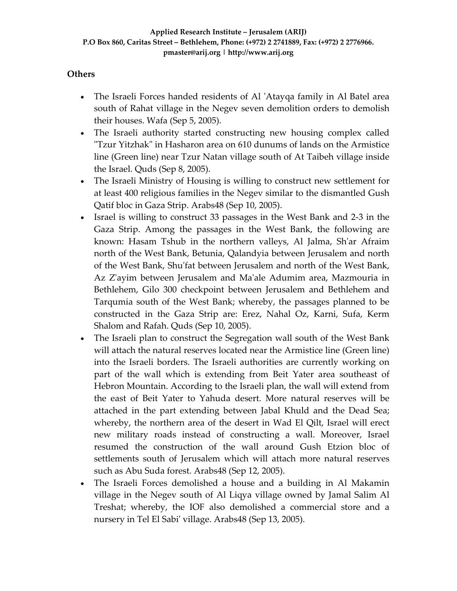### **Others**

- The Israeli Forces handed residents of Al 'Atayqa family in Al Batel area south of Rahat village in the Negev seven demolition orders to demolish their houses. Wafa (Sep 5, 2005).
- The Israeli authority started constructing new housing complex called ʺTzur Yitzhakʺ in Hasharon area on 610 dunums of lands on the Armistice line (Green line) near Tzur Natan village south of At Taibeh village inside the Israel. Quds (Sep 8, 2005).
- The Israeli Ministry of Housing is willing to construct new settlement for at least 400 religious families in the Negev similar to the dismantled Gush Qatif bloc in Gaza Strip. Arabs48 (Sep 10, 2005).
- Israel is willing to construct 33 passages in the West Bank and 2‐3 in the Gaza Strip. Among the passages in the West Bank, the following are known: Hasam Tshub in the northern valleys, Al Jalma, Shʹar Afraim north of the West Bank, Betunia, Qalandyia between Jerusalem and north of the West Bank, Shuʹfat between Jerusalem and north of the West Bank, Az Z'ayim between Jerusalem and Ma'ale Adumim area, Mazmouria in Bethlehem, Gilo 300 checkpoint between Jerusalem and Bethlehem and Tarqumia south of the West Bank; whereby, the passages planned to be constructed in the Gaza Strip are: Erez, Nahal Oz, Karni, Sufa, Kerm Shalom and Rafah. Quds (Sep 10, 2005).
- The Israeli plan to construct the Segregation wall south of the West Bank will attach the natural reserves located near the Armistice line (Green line) into the Israeli borders. The Israeli authorities are currently working on part of the wall which is extending from Beit Yater area southeast of Hebron Mountain. According to the Israeli plan, the wall will extend from the east of Beit Yater to Yahuda desert. More natural reserves will be attached in the part extending between Jabal Khuld and the Dead Sea; whereby, the northern area of the desert in Wad El Qilt, Israel will erect new military roads instead of constructing a wall. Moreover, Israel resumed the construction of the wall around Gush Etzion bloc of settlements south of Jerusalem which will attach more natural reserves such as Abu Suda forest. Arabs48 (Sep 12, 2005).
- The Israeli Forces demolished a house and a building in Al Makamin village in the Negev south of Al Liqya village owned by Jamal Salim Al Treshat; whereby, the IOF also demolished a commercial store and a nursery in Tel El Sabi' village. Arabs48 (Sep 13, 2005).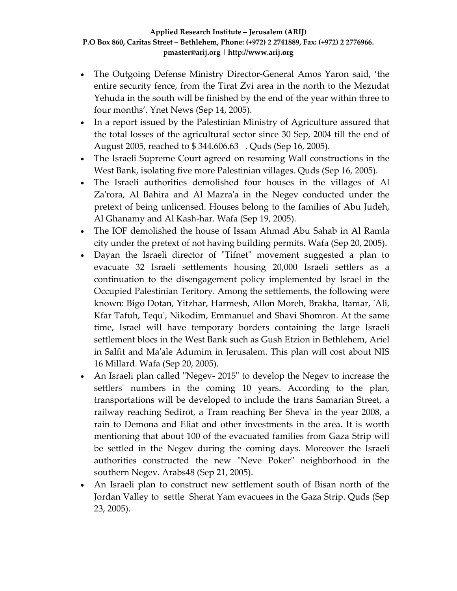- The Outgoing Defense Ministry Director-General Amos Yaron said, 'the entire security fence, from the Tirat Zvi area in the north to the Mezudat Yehuda in the south will be finished by the end of the year within three to four months'. Ynet News (Sep 14, 2005).
- In a report issued by the Palestinian Ministry of Agriculture assured that the total losses of the agricultural sector since 30 Sep, 2004 till the end of August 2005, reached to \$ 344.606.63 . Quds (Sep 16, 2005).
- The Israeli Supreme Court agreed on resuming Wall constructions in the West Bank, isolating five more Palestinian villages. Quds (Sep 16, 2005).
- The Israeli authorities demolished four houses in the villages of Al Za'rora, Al Bahira and Al Mazra'a in the Negev conducted under the pretext of being unlicensed. Houses belong to the families of Abu Judeh, Al Ghanamy and Al Kash‐har. Wafa (Sep 19, 2005).
- The IOF demolished the house of Issam Ahmad Abu Sahab in Al Ramla city under the pretext of not having building permits. Wafa (Sep 20, 2005).
- Dayan the Israeli director of "Tifnet" movement suggested a plan to evacuate 32 Israeli settlements housing 20,000 Israeli settlers as a continuation to the disengagement policy implemented by Israel in the Occupied Palestinian Teritory. Among the settlements, the following were known: Bigo Dotan, Yitzhar, Harmesh, Allon Moreh, Brakha, Itamar, ʹAli, Kfar Tafuh, Tequʹ, Nikodim, Emmanuel and Shavi Shomron. At the same time, Israel will have temporary borders containing the large Israeli settlement blocs in the West Bank such as Gush Etzion in Bethlehem, Ariel in Salfit and Maʹale Adumim in Jerusalem. This plan will cost about NIS 16 Millard. Wafa (Sep 20, 2005).
- An Israeli plan called "Negev- 2015" to develop the Negev to increase the settlers' numbers in the coming 10 years. According to the plan, transportations will be developed to include the trans Samarian Street, a railway reaching Sedirot, a Tram reaching Ber Shevaʹ in the year 2008, a rain to Demona and Eliat and other investments in the area. It is worth mentioning that about 100 of the evacuated families from Gaza Strip will be settled in the Negev during the coming days. Moreover the Israeli authorities constructed the new "Neve Poker" neighborhood in the southern Negev. Arabs48 (Sep 21, 2005).
- An Israeli plan to construct new settlement south of Bisan north of the Jordan Valley to settle Sherat Yam evacuees in the Gaza Strip. Quds (Sep 23, 2005).